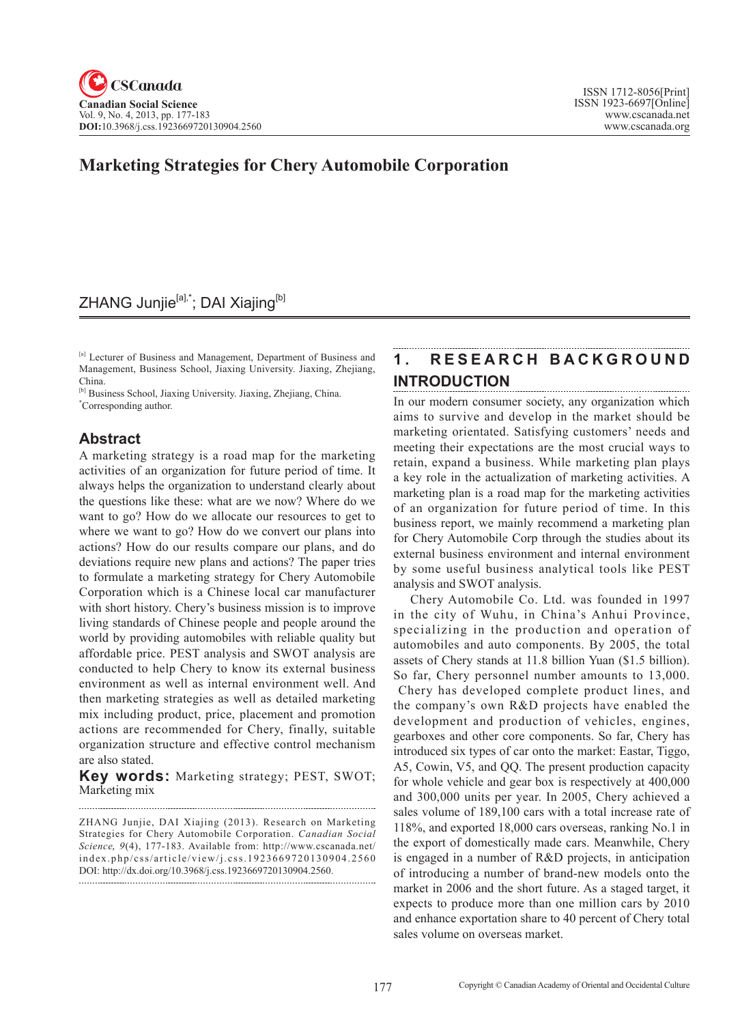# **Marketing Strategies for Chery Automobile Corporation**

# ZHANG Junjie<sup>[a],\*</sup>; DAI Xiajing<sup>[b]</sup>

[a] Lecturer of Business and Management, Department of Business and Management, Business School, Jiaxing University. Jiaxing, Zhejiang, China.

[b] Business School, Jiaxing University. Jiaxing, Zhejiang, China. \* Corresponding author.

## **Abstract**

A marketing strategy is a road map for the marketing activities of an organization for future period of time. It always helps the organization to understand clearly about the questions like these: what are we now? Where do we want to go? How do we allocate our resources to get to where we want to go? How do we convert our plans into actions? How do our results compare our plans, and do deviations require new plans and actions? The paper tries to formulate a marketing strategy for Chery Automobile Corporation which is a Chinese local car manufacturer with short history. Chery's business mission is to improve living standards of Chinese people and people around the world by providing automobiles with reliable quality but affordable price. PEST analysis and SWOT analysis are conducted to help Chery to know its external business environment as well as internal environment well. And then marketing strategies as well as detailed marketing mix including product, price, placement and promotion actions are recommended for Chery, finally, suitable organization structure and effective control mechanism are also stated.

**Key words:** Marketing strategy; PEST, SWOT; Marketing mix

ZHANG Junjie, DAI Xiajing (2013). Research on Marketing Strategies for Chery Automobile Corporation. *Canadian Social Science*, 9(4), 177-183. Available from: http://www.cscanada.net/ index.php/css/article/view/j.css.1923669720130904.2560 DOI: http://dx.doi.org/10.3968/j.css.1923669720130904.2560.

#### **1 . R E S E A R C H B A C K G R O U N D INTRODUCTION**

In our modern consumer society, any organization which aims to survive and develop in the market should be marketing orientated. Satisfying customers' needs and meeting their expectations are the most crucial ways to retain, expand a business. While marketing plan plays a key role in the actualization of marketing activities. A marketing plan is a road map for the marketing activities of an organization for future period of time. In this business report, we mainly recommend a marketing plan for Chery Automobile Corp through the studies about its external business environment and internal environment by some useful business analytical tools like PEST analysis and SWOT analysis.

Chery Automobile Co. Ltd. was founded in 1997 in the city of Wuhu, in China's Anhui Province, specializing in the production and operation of automobiles and auto components. By 2005, the total assets of Chery stands at 11.8 billion Yuan (\$1.5 billion). So far, Chery personnel number amounts to 13,000. Chery has developed complete product lines, and the company's own R&D projects have enabled the development and production of vehicles, engines, gearboxes and other core components. So far, Chery has introduced six types of car onto the market: Eastar, Tiggo, A5, Cowin, V5, and QQ. The present production capacity for whole vehicle and gear box is respectively at 400,000 and 300,000 units per year. In 2005, Chery achieved a sales volume of 189,100 cars with a total increase rate of 118%, and exported 18,000 cars overseas, ranking No.1 in the export of domestically made cars. Meanwhile, Chery is engaged in a number of R&D projects, in anticipation of introducing a number of brand-new models onto the market in 2006 and the short future. As a staged target, it expects to produce more than one million cars by 2010 and enhance exportation share to 40 percent of Chery total sales volume on overseas market.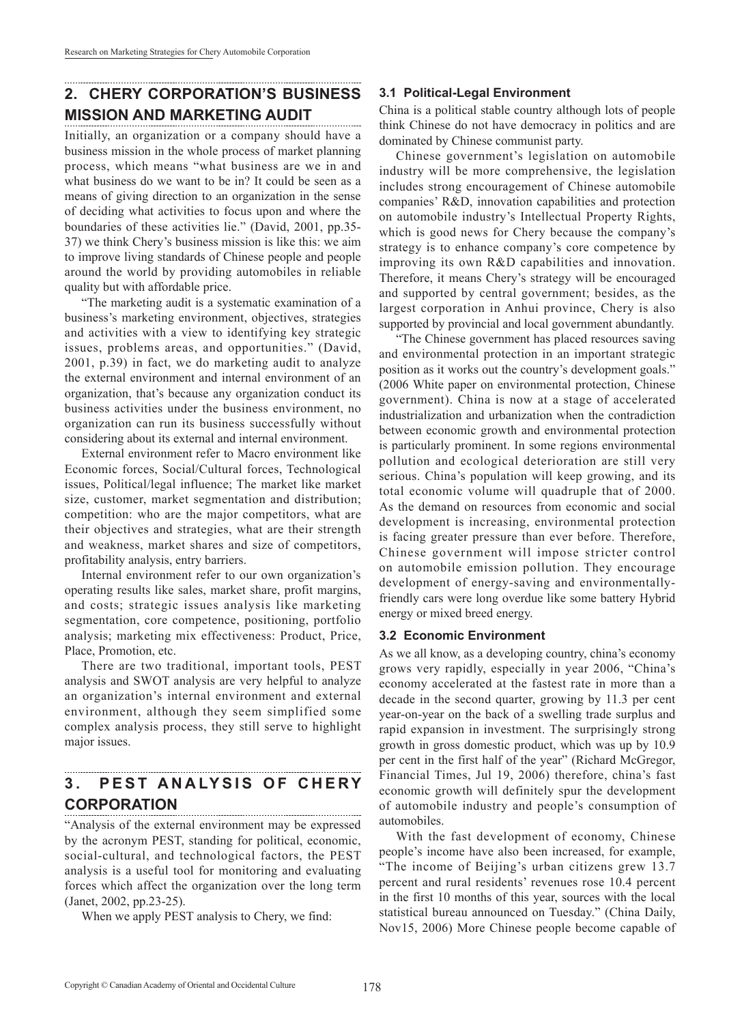## **2. CHERY CORPORATION'S BUSINESS MISSION AND MARKETING AUDIT**

Initially, an organization or a company should have a business mission in the whole process of market planning process, which means "what business are we in and what business do we want to be in? It could be seen as a means of giving direction to an organization in the sense of deciding what activities to focus upon and where the boundaries of these activities lie." (David, 2001, pp.35- 37) we think Chery's business mission is like this: we aim to improve living standards of Chinese people and people around the world by providing automobiles in reliable quality but with affordable price.

"The marketing audit is a systematic examination of a business's marketing environment, objectives, strategies and activities with a view to identifying key strategic issues, problems areas, and opportunities." (David, 2001, p.39) in fact, we do marketing audit to analyze the external environment and internal environment of an organization, that's because any organization conduct its business activities under the business environment, no organization can run its business successfully without considering about its external and internal environment.

External environment refer to Macro environment like Economic forces, Social/Cultural forces, Technological issues, Political/legal influence; The market like market size, customer, market segmentation and distribution; competition: who are the major competitors, what are their objectives and strategies, what are their strength and weakness, market shares and size of competitors, profitability analysis, entry barriers.

Internal environment refer to our own organization's operating results like sales, market share, profit margins, and costs; strategic issues analysis like marketing segmentation, core competence, positioning, portfolio analysis; marketing mix effectiveness: Product, Price, Place, Promotion, etc.

There are two traditional, important tools, PEST analysis and SWOT analysis are very helpful to analyze an organization's internal environment and external environment, although they seem simplified some complex analysis process, they still serve to highlight major issues.

#### **3. PEST ANALYSIS OF CHERY CORPORATION**

"Analysis of the external environment may be expressed by the acronym PEST, standing for political, economic, social-cultural, and technological factors, the PEST analysis is a useful tool for monitoring and evaluating forces which affect the organization over the long term (Janet, 2002, pp.23-25).

When we apply PEST analysis to Chery, we find:

## **3.1 Political-Legal Environment**

China is a political stable country although lots of people think Chinese do not have democracy in politics and are dominated by Chinese communist party.

Chinese government's legislation on automobile industry will be more comprehensive, the legislation includes strong encouragement of Chinese automobile companies' R&D, innovation capabilities and protection on automobile industry's Intellectual Property Rights, which is good news for Chery because the company's strategy is to enhance company's core competence by improving its own R&D capabilities and innovation. Therefore, it means Chery's strategy will be encouraged and supported by central government; besides, as the largest corporation in Anhui province, Chery is also supported by provincial and local government abundantly.

"The Chinese government has placed resources saving and environmental protection in an important strategic position as it works out the country's development goals." (2006 White paper on environmental protection, Chinese government). China is now at a stage of accelerated industrialization and urbanization when the contradiction between economic growth and environmental protection is particularly prominent. In some regions environmental pollution and ecological deterioration are still very serious. China's population will keep growing, and its total economic volume will quadruple that of 2000. As the demand on resources from economic and social development is increasing, environmental protection is facing greater pressure than ever before. Therefore, Chinese government will impose stricter control on automobile emission pollution. They encourage development of energy-saving and environmentallyfriendly cars were long overdue like some battery Hybrid energy or mixed breed energy.

### **3.2 Economic Environment**

As we all know, as a developing country, china's economy grows very rapidly, especially in year 2006, "China's economy accelerated at the fastest rate in more than a decade in the second quarter, growing by 11.3 per cent year-on-year on the back of a swelling trade surplus and rapid expansion in investment. The surprisingly strong growth in gross domestic product, which was up by 10.9 per cent in the first half of the year" (Richard McGregor, Financial Times, Jul 19, 2006) therefore, china's fast economic growth will definitely spur the development of automobile industry and people's consumption of automobiles.

With the fast development of economy, Chinese people's income have also been increased, for example, "The income of Beijing's urban citizens grew 13.7 percent and rural residents' revenues rose 10.4 percent in the first 10 months of this year, sources with the local statistical bureau announced on Tuesday." (China Daily, Nov15, 2006) More Chinese people become capable of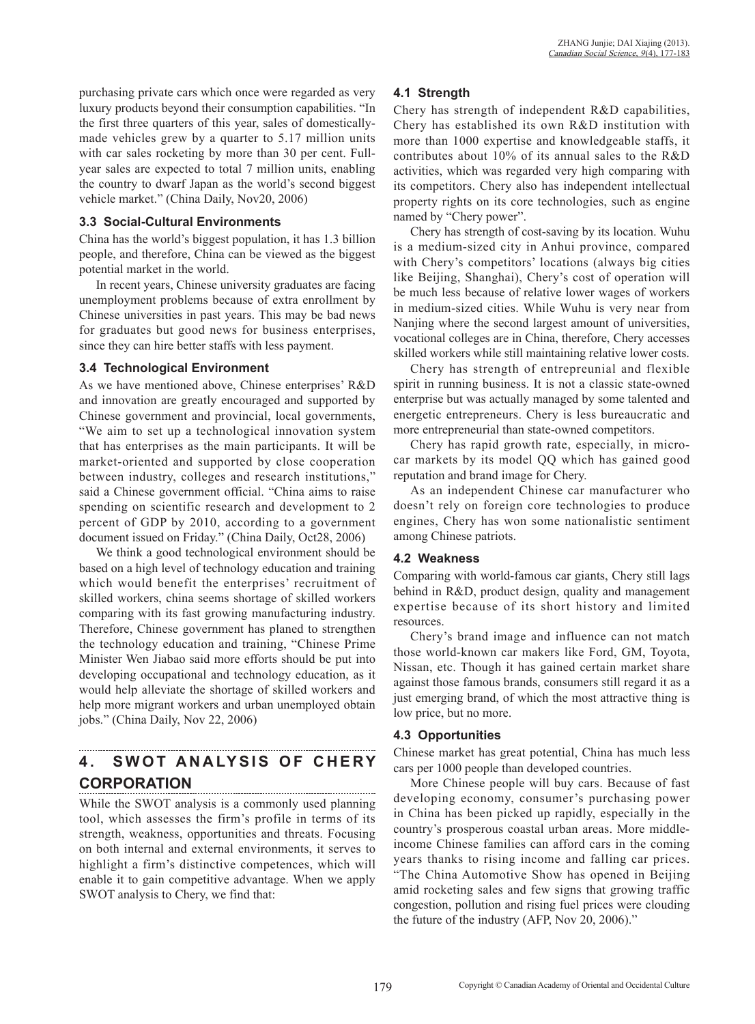purchasing private cars which once were regarded as very luxury products beyond their consumption capabilities. "In the first three quarters of this year, sales of domesticallymade vehicles grew by a quarter to 5.17 million units with car sales rocketing by more than 30 per cent. Fullyear sales are expected to total 7 million units, enabling the country to dwarf Japan as the world's second biggest vehicle market." (China Daily, Nov20, 2006)

### **3.3 Social-Cultural Environments**

China has the world's biggest population, it has 1.3 billion people, and therefore, China can be viewed as the biggest potential market in the world.

In recent years, Chinese university graduates are facing unemployment problems because of extra enrollment by Chinese universities in past years. This may be bad news for graduates but good news for business enterprises, since they can hire better staffs with less payment.

## **3.4 Technological Environment**

As we have mentioned above, Chinese enterprises' R&D and innovation are greatly encouraged and supported by Chinese government and provincial, local governments, "We aim to set up a technological innovation system that has enterprises as the main participants. It will be market-oriented and supported by close cooperation between industry, colleges and research institutions," said a Chinese government official. "China aims to raise spending on scientific research and development to 2 percent of GDP by 2010, according to a government document issued on Friday." (China Daily, Oct28, 2006)

We think a good technological environment should be based on a high level of technology education and training which would benefit the enterprises' recruitment of skilled workers, china seems shortage of skilled workers comparing with its fast growing manufacturing industry. Therefore, Chinese government has planed to strengthen the technology education and training, "Chinese Prime Minister Wen Jiabao said more efforts should be put into developing occupational and technology education, as it would help alleviate the shortage of skilled workers and help more migrant workers and urban unemployed obtain jobs." (China Daily, Nov 22, 2006)

### **4. SWOT ANALYSIS OF CHERY CORPORATION**

While the SWOT analysis is a commonly used planning tool, which assesses the firm's profile in terms of its strength, weakness, opportunities and threats. Focusing on both internal and external environments, it serves to highlight a firm's distinctive competences, which will enable it to gain competitive advantage. When we apply SWOT analysis to Chery, we find that:

## **4.1 Strength**

Chery has strength of independent R&D capabilities, Chery has established its own R&D institution with more than 1000 expertise and knowledgeable staffs, it contributes about 10% of its annual sales to the R&D activities, which was regarded very high comparing with its competitors. Chery also has independent intellectual property rights on its core technologies, such as engine named by "Chery power".

Chery has strength of cost-saving by its location. Wuhu is a medium-sized city in Anhui province, compared with Chery's competitors' locations (always big cities like Beijing, Shanghai), Chery's cost of operation will be much less because of relative lower wages of workers in medium-sized cities. While Wuhu is very near from Nanjing where the second largest amount of universities, vocational colleges are in China, therefore, Chery accesses skilled workers while still maintaining relative lower costs.

Chery has strength of entrepreunial and flexible spirit in running business. It is not a classic state-owned enterprise but was actually managed by some talented and energetic entrepreneurs. Chery is less bureaucratic and more entrepreneurial than state-owned competitors.

Chery has rapid growth rate, especially, in microcar markets by its model QQ which has gained good reputation and brand image for Chery.

As an independent Chinese car manufacturer who doesn't rely on foreign core technologies to produce engines, Chery has won some nationalistic sentiment among Chinese patriots.

## **4.2 Weakness**

Comparing with world-famous car giants, Chery still lags behind in R&D, product design, quality and management expertise because of its short history and limited resources.

Chery's brand image and influence can not match those world-known car makers like Ford, GM, Toyota, Nissan, etc. Though it has gained certain market share against those famous brands, consumers still regard it as a just emerging brand, of which the most attractive thing is low price, but no more.

## **4.3 Opportunities**

Chinese market has great potential, China has much less cars per 1000 people than developed countries.

More Chinese people will buy cars. Because of fast developing economy, consumer's purchasing power in China has been picked up rapidly, especially in the country's prosperous coastal urban areas. More middleincome Chinese families can afford cars in the coming years thanks to rising income and falling car prices. "The China Automotive Show has opened in Beijing amid rocketing sales and few signs that growing traffic congestion, pollution and rising fuel prices were clouding the future of the industry (AFP, Nov 20, 2006)."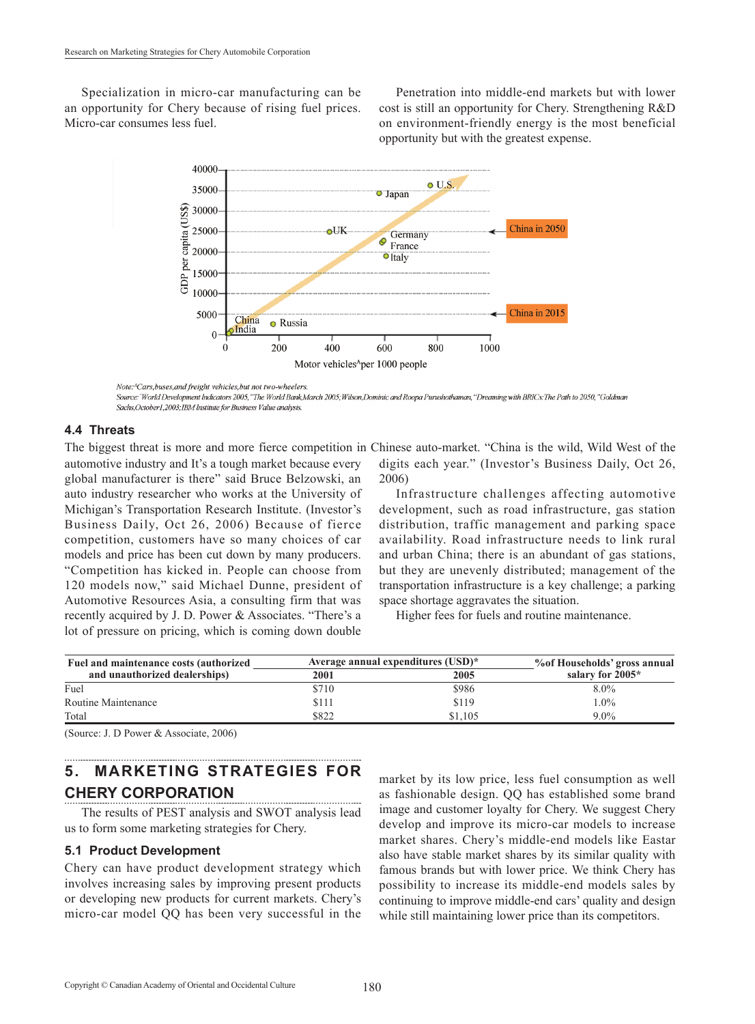Specialization in micro-car manufacturing can be an opportunity for Chery because of rising fuel prices. Micro-car consumes less fuel.

Penetration into middle-end markets but with lower cost is still an opportunity for Chery. Strengthening R&D on environment-friendly energy is the most beneficial opportunity but with the greatest expense.



Note:<sup>A</sup>Cars, buses, and freight vehicles, but not two-wheelers

Source: "World Development Indicators 2005,"The World Bank,March 2005; Wilson,Dominic and Roopa Purushothaman, "Dreaming with BRICs: The Path to 2050,"Goldman Sachs, October1, 2003; IBM Institute for Business Value analysis.

#### **4.4 Threats**

automotive industry and It's a tough market because every global manufacturer is there" said Bruce Belzowski, an auto industry researcher who works at the University of Michigan's Transportation Research Institute. (Investor's Business Daily, Oct 26, 2006) Because of fierce competition, customers have so many choices of car models and price has been cut down by many producers. "Competition has kicked in. People can choose from 120 models now," said Michael Dunne, president of Automotive Resources Asia, a consulting firm that was recently acquired by J. D. Power & Associates. "There's a lot of pressure on pricing, which is coming down double

The biggest threat is more and more fierce competition in Chinese auto-market. "China is the wild, Wild West of the digits each year." (Investor's Business Daily, Oct 26, 2006)

> Infrastructure challenges affecting automotive development, such as road infrastructure, gas station distribution, traffic management and parking space availability. Road infrastructure needs to link rural and urban China; there is an abundant of gas stations, but they are unevenly distributed; management of the transportation infrastructure is a key challenge; a parking space shortage aggravates the situation.

Higher fees for fuels and routine maintenance.

| Fuel and maintenance costs (authorized | Average annual expenditures (USD)* |         | % of Households' gross annual |
|----------------------------------------|------------------------------------|---------|-------------------------------|
| and unauthorized dealerships)          | <b>2001</b>                        | 2005    | salary for 2005*              |
| Fuel                                   | \$710                              | \$986   | $8.0\%$                       |
| Routine Maintenance                    | \$111                              | \$119   | $.0\%$                        |
| Total                                  | \$822                              | \$1.105 | $9.0\%$                       |

(Source: J. D Power & Associate, 2006)

# **5. MARKETING STRATEGIES FOR CHERY CORPORATION**

The results of PEST analysis and SWOT analysis lead us to form some marketing strategies for Chery.

#### **5.1 Product Development**

Chery can have product development strategy which involves increasing sales by improving present products or developing new products for current markets. Chery's micro-car model QQ has been very successful in the

market by its low price, less fuel consumption as well as fashionable design. QQ has established some brand image and customer loyalty for Chery. We suggest Chery develop and improve its micro-car models to increase market shares. Chery's middle-end models like Eastar also have stable market shares by its similar quality with famous brands but with lower price. We think Chery has possibility to increase its middle-end models sales by continuing to improve middle-end cars' quality and design while still maintaining lower price than its competitors.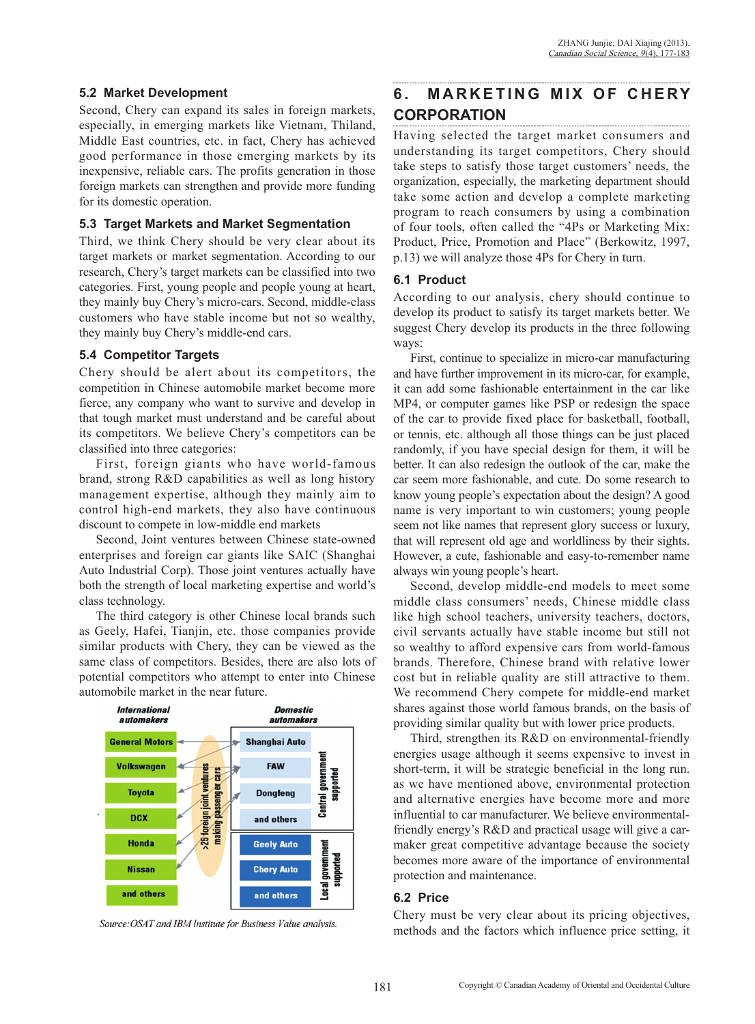### **5.2 Market Development**

Second, Chery can expand its sales in foreign markets, especially, in emerging markets like Vietnam, Thiland, Middle East countries, etc. in fact, Chery has achieved good performance in those emerging markets by its inexpensive, reliable cars. The profits generation in those foreign markets can strengthen and provide more funding for its domestic operation.

### **5.3 Target Markets and Market Segmentation**

Third, we think Chery should be very clear about its target markets or market segmentation. According to our research, Chery's target markets can be classified into two categories. First, young people and people young at heart, they mainly buy Chery's micro-cars. Second, middle-class customers who have stable income but not so wealthy, they mainly buy Chery's middle-end cars.

## **5.4 Competitor Targets**

Chery should be alert about its competitors, the competition in Chinese automobile market become more fierce, any company who want to survive and develop in that tough market must understand and be careful about its competitors. We believe Chery's competitors can be classified into three categories:

First, foreign giants who have world-famous brand, strong R&D capabilities as well as long history management expertise, although they mainly aim to control high-end markets, they also have continuous discount to compete in low-middle end markets

Second, Joint ventures between Chinese state-owned enterprises and foreign car giants like SAIC (Shanghai Auto Industrial Corp). Those joint ventures actually have both the strength of local marketing expertise and world's class technology.

The third category is other Chinese local brands such as Geely, Hafei, Tianjin, etc. those companies provide similar products with Chery, they can be viewed as the same class of competitors. Besides, there are also lots of potential competitors who attempt to enter into Chinese automobile market in the near future.



Source: OSAT and IBM Institute for Business Value analysis.

# **6. MARKETING MIX OF CHERY CORPORATION**

Having selected the target market consumers and understanding its target competitors, Chery should take steps to satisfy those target customers' needs, the organization, especially, the marketing department should take some action and develop a complete marketing program to reach consumers by using a combination of four tools, often called the "4Ps or Marketing Mix: Product, Price, Promotion and Place" (Berkowitz, 1997, p.13) we will analyze those 4Ps for Chery in turn.

## **6.1 Product**

According to our analysis, chery should continue to develop its product to satisfy its target markets better. We suggest Chery develop its products in the three following ways:

First, continue to specialize in micro-car manufacturing and have further improvement in its micro-car, for example, it can add some fashionable entertainment in the car like MP4, or computer games like PSP or redesign the space of the car to provide fixed place for basketball, football, or tennis, etc. although all those things can be just placed randomly, if you have special design for them, it will be better. It can also redesign the outlook of the car, make the car seem more fashionable, and cute. Do some research to know young people's expectation about the design? A good name is very important to win customers; young people seem not like names that represent glory success or luxury, that will represent old age and worldliness by their sights. However, a cute, fashionable and easy-to-remember name always win young people's heart.

Second, develop middle-end models to meet some middle class consumers' needs, Chinese middle class like high school teachers, university teachers, doctors, civil servants actually have stable income but still not so wealthy to afford expensive cars from world-famous brands. Therefore, Chinese brand with relative lower cost but in reliable quality are still attractive to them. We recommend Chery compete for middle-end market shares against those world famous brands, on the basis of providing similar quality but with lower price products.

Third, strengthen its R&D on environmental-friendly energies usage although it seems expensive to invest in short-term, it will be strategic beneficial in the long run. as we have mentioned above, environmental protection and alternative energies have become more and more influential to car manufacturer. We believe environmentalfriendly energy's R&D and practical usage will give a carmaker great competitive advantage because the society becomes more aware of the importance of environmental protection and maintenance.

### **6.2 Price**

Chery must be very clear about its pricing objectives, methods and the factors which influence price setting, it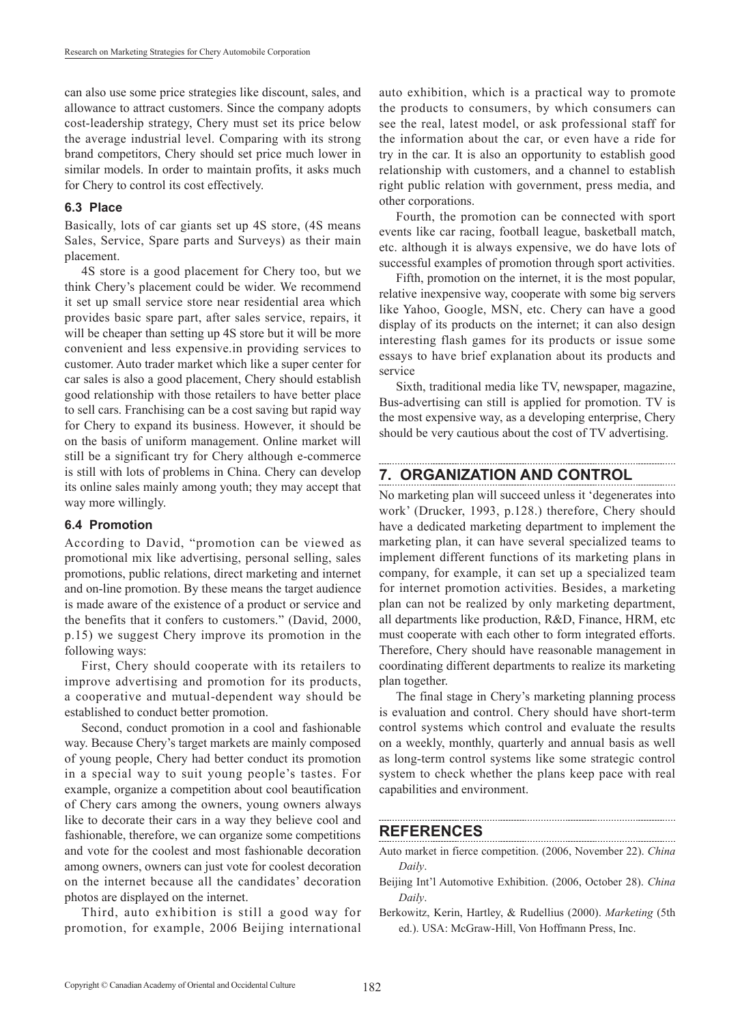can also use some price strategies like discount, sales, and allowance to attract customers. Since the company adopts cost-leadership strategy, Chery must set its price below the average industrial level. Comparing with its strong brand competitors, Chery should set price much lower in similar models. In order to maintain profits, it asks much for Chery to control its cost effectively.

## **6.3 Place**

Basically, lots of car giants set up 4S store, (4S means Sales, Service, Spare parts and Surveys) as their main placement.

4S store is a good placement for Chery too, but we think Chery's placement could be wider. We recommend it set up small service store near residential area which provides basic spare part, after sales service, repairs, it will be cheaper than setting up 4S store but it will be more convenient and less expensive.in providing services to customer. Auto trader market which like a super center for car sales is also a good placement, Chery should establish good relationship with those retailers to have better place to sell cars. Franchising can be a cost saving but rapid way for Chery to expand its business. However, it should be on the basis of uniform management. Online market will still be a significant try for Chery although e-commerce is still with lots of problems in China. Chery can develop its online sales mainly among youth; they may accept that way more willingly.

## **6.4 Promotion**

According to David, "promotion can be viewed as promotional mix like advertising, personal selling, sales promotions, public relations, direct marketing and internet and on-line promotion. By these means the target audience is made aware of the existence of a product or service and the benefits that it confers to customers." (David, 2000, p.15) we suggest Chery improve its promotion in the following ways:

First, Chery should cooperate with its retailers to improve advertising and promotion for its products, a cooperative and mutual-dependent way should be established to conduct better promotion.

Second, conduct promotion in a cool and fashionable way. Because Chery's target markets are mainly composed of young people, Chery had better conduct its promotion in a special way to suit young people's tastes. For example, organize a competition about cool beautification of Chery cars among the owners, young owners always like to decorate their cars in a way they believe cool and fashionable, therefore, we can organize some competitions and vote for the coolest and most fashionable decoration among owners, owners can just vote for coolest decoration on the internet because all the candidates' decoration photos are displayed on the internet.

Third, auto exhibition is still a good way for promotion, for example, 2006 Beijing international auto exhibition, which is a practical way to promote the products to consumers, by which consumers can see the real, latest model, or ask professional staff for the information about the car, or even have a ride for try in the car. It is also an opportunity to establish good relationship with customers, and a channel to establish right public relation with government, press media, and other corporations.

Fourth, the promotion can be connected with sport events like car racing, football league, basketball match, etc. although it is always expensive, we do have lots of successful examples of promotion through sport activities.

Fifth, promotion on the internet, it is the most popular, relative inexpensive way, cooperate with some big servers like Yahoo, Google, MSN, etc. Chery can have a good display of its products on the internet; it can also design interesting flash games for its products or issue some essays to have brief explanation about its products and service

Sixth, traditional media like TV, newspaper, magazine, Bus-advertising can still is applied for promotion. TV is the most expensive way, as a developing enterprise, Chery should be very cautious about the cost of TV advertising.

# **7. ORGANIZATION AND CONTROL**

No marketing plan will succeed unless it 'degenerates into work' (Drucker, 1993, p.128.) therefore, Chery should have a dedicated marketing department to implement the marketing plan, it can have several specialized teams to implement different functions of its marketing plans in company, for example, it can set up a specialized team for internet promotion activities. Besides, a marketing plan can not be realized by only marketing department, all departments like production, R&D, Finance, HRM, etc must cooperate with each other to form integrated efforts. Therefore, Chery should have reasonable management in coordinating different departments to realize its marketing plan together.

The final stage in Chery's marketing planning process is evaluation and control. Chery should have short-term control systems which control and evaluate the results on a weekly, monthly, quarterly and annual basis as well as long-term control systems like some strategic control system to check whether the plans keep pace with real capabilities and environment.

# **REFERENCES**

- Auto market in fierce competition. (2006, November 22). *China Daily*.
- Beijing Int'l Automotive Exhibition. (2006, October 28). *China Daily*.
- Berkowitz, Kerin, Hartley, & Rudellius (2000). *Marketing* (5th ed.). USA: McGraw-Hill, Von Hoffmann Press, Inc.